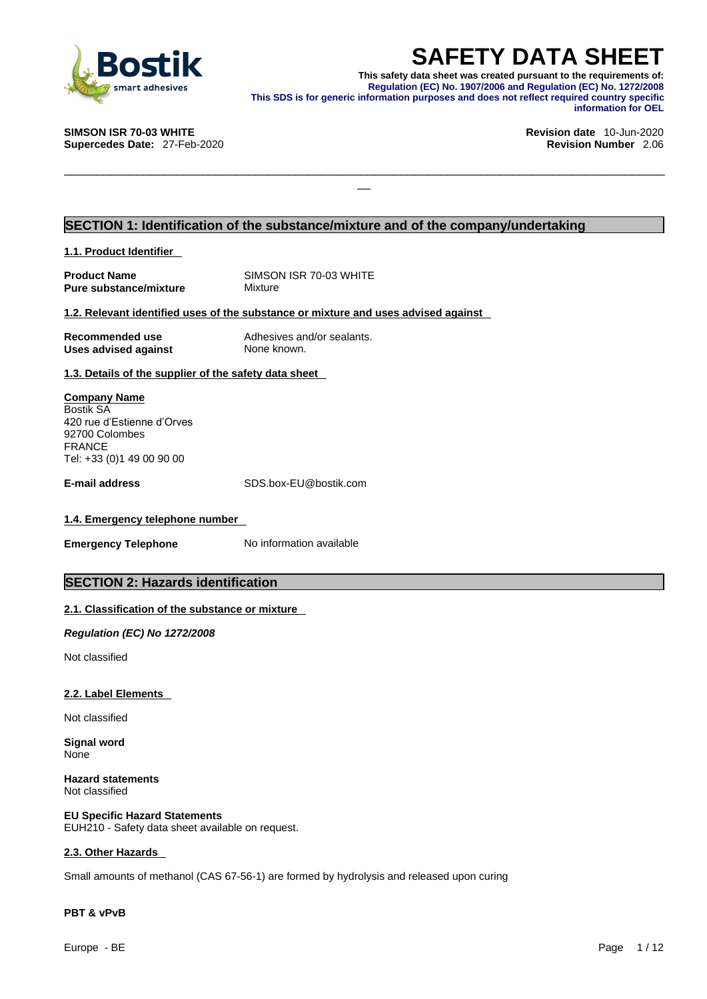

**SAFETY DATA SHEET**<br>This safety data sheet was created pursuant to the requirements of:<br>Regulation (EC) No. 1907/2006 and Regulation (EC) No. 1272/2008<br>information purposes and does not reflect required country specific<br>in **This safety data sheet was created pursuant to the requirements of: Regulation (EC) No. 1907/2006 and Regulation (EC) No. 1272/2008 This SDS is for generic information purposes and does not reflect required country specific information for OEL** 

\_\_\_\_\_\_\_\_\_\_\_\_\_\_\_\_\_\_\_\_\_\_\_\_\_\_\_\_\_\_\_\_\_\_\_\_\_\_\_\_\_\_\_\_\_\_\_\_\_\_\_\_\_\_\_\_\_\_\_\_\_\_\_\_\_\_\_\_\_\_\_\_\_\_\_\_\_\_\_\_\_\_\_\_\_\_\_\_\_\_\_

**Supercedes Date: 27-Feb-2020** 

## **SIMSON ISR 70-03 WHITE Revision date** 10-Jun-2020

### **SECTION 1: Identification of the substance/mixture and of the company/undertaking**

**1.1. Product Identifier** 

| <b>Product Name</b>           |  |
|-------------------------------|--|
| <b>Pure substance/mixture</b> |  |

**SIMSON ISR 70-03 WHITE Mixture** 

### **1.2. Relevant identified uses of the substance or mixture and uses advised against**

| <b>Recommended use</b> | Adhesives and/or sealants. |
|------------------------|----------------------------|
| Uses advised against   | None known.                |

**1.3. Details of the supplier of the safety data sheet**

### **Company Name** Bostik SA 420 rue d'Estienne d'Orves 92700 Colombes FRANCE Tel: +33 (0)1 49 00 90 00

**E-mail address** SDS.box-EU@bostik.com

### **1.4. Emergency telephone number**

**Emergency Telephone** No information available

### **SECTION 2: Hazards identification**

### **2.1. Classification of the substance or mixture**

*Regulation (EC) No 1272/2008* 

Not classified

### **2.2. Label Elements**

Not classified

**Signal word** None

**Hazard statements** Not classified

**EU Specific Hazard Statements** EUH210 - Safety data sheet available on request.

### **2.3. Other Hazards**

Small amounts of methanol (CAS 67-56-1) are formed by hydrolysis and released upon curing

### **PBT & vPvB**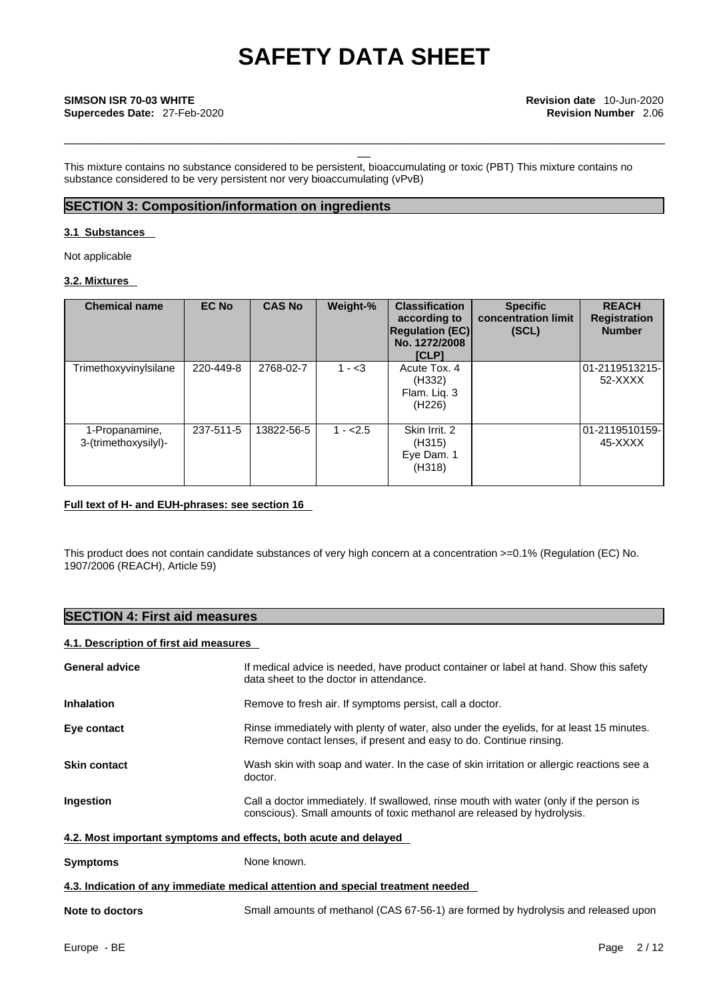\_\_\_\_\_\_\_\_\_\_\_\_\_\_\_\_\_\_\_\_\_\_\_\_\_\_\_\_\_\_\_\_\_\_\_\_\_\_\_\_\_\_\_\_\_\_\_\_\_\_\_\_\_\_\_\_\_\_\_\_\_\_\_\_\_\_\_\_\_\_\_\_\_\_\_\_\_\_\_\_\_\_\_\_\_\_\_\_\_\_\_

This mixture contains no substance considered to be persistent, bioaccumulating or toxic (PBT) This mixture contains no substance considered to be very persistent nor very bioaccumulating (vPvB)

### **SECTION 3: Composition/information on ingredients**

### **3.1 Substances**

Not applicable

### **3.2. Mixtures**

| <b>Chemical name</b>                   | <b>EC No</b> | <b>CAS No</b> | Weight-%  | <b>Classification</b><br>according to<br><b>Regulation (EC)</b><br>No. 1272/2008<br><b>[CLP]</b> | <b>Specific</b><br>concentration limit<br>(SCL) | <b>REACH</b><br><b>Registration</b><br><b>Number</b> |
|----------------------------------------|--------------|---------------|-----------|--------------------------------------------------------------------------------------------------|-------------------------------------------------|------------------------------------------------------|
| Trimethoxyvinylsilane                  | 220-449-8    | 2768-02-7     | $1 - 3$   | Acute Tox, 4<br>(H332)<br>Flam. Lig. 3<br>(H <sub>226</sub> )                                    |                                                 | 01-2119513215-<br>52-XXXX                            |
| 1-Propanamine,<br>3-(trimethoxysilyl)- | 237-511-5    | 13822-56-5    | $1 - 2.5$ | Skin Irrit. 2<br>(H315)<br>Eye Dam. 1<br>(H318)                                                  |                                                 | l01-2119510159-<br>45-XXXX                           |

### **Full text of H- and EUH-phrases: see section 16**

This product does not contain candidate substances of very high concern at a concentration >=0.1% (Regulation (EC) No. 1907/2006 (REACH), Article 59)

### **SECTION 4: First aid measures**

### **4.1. Description of first aid measures**

| <b>General advice</b>                                                           | If medical advice is needed, have product container or label at hand. Show this safety<br>data sheet to the doctor in attendance.                                 |  |  |  |  |
|---------------------------------------------------------------------------------|-------------------------------------------------------------------------------------------------------------------------------------------------------------------|--|--|--|--|
| <b>Inhalation</b>                                                               | Remove to fresh air. If symptoms persist, call a doctor.                                                                                                          |  |  |  |  |
| Eye contact                                                                     | Rinse immediately with plenty of water, also under the eyelids, for at least 15 minutes.<br>Remove contact lenses, if present and easy to do. Continue rinsing.   |  |  |  |  |
| <b>Skin contact</b>                                                             | Wash skin with soap and water. In the case of skin irritation or allergic reactions see a<br>doctor.                                                              |  |  |  |  |
| Ingestion                                                                       | Call a doctor immediately. If swallowed, rinse mouth with water (only if the person is<br>conscious). Small amounts of toxic methanol are released by hydrolysis. |  |  |  |  |
| 4.2. Most important symptoms and effects, both acute and delayed                |                                                                                                                                                                   |  |  |  |  |
| <b>Symptoms</b>                                                                 | None known.                                                                                                                                                       |  |  |  |  |
| 4.3. Indication of any immediate medical attention and special treatment needed |                                                                                                                                                                   |  |  |  |  |
| Note to doctors                                                                 | Small amounts of methanol (CAS 67-56-1) are formed by hydrolysis and released upon                                                                                |  |  |  |  |
|                                                                                 |                                                                                                                                                                   |  |  |  |  |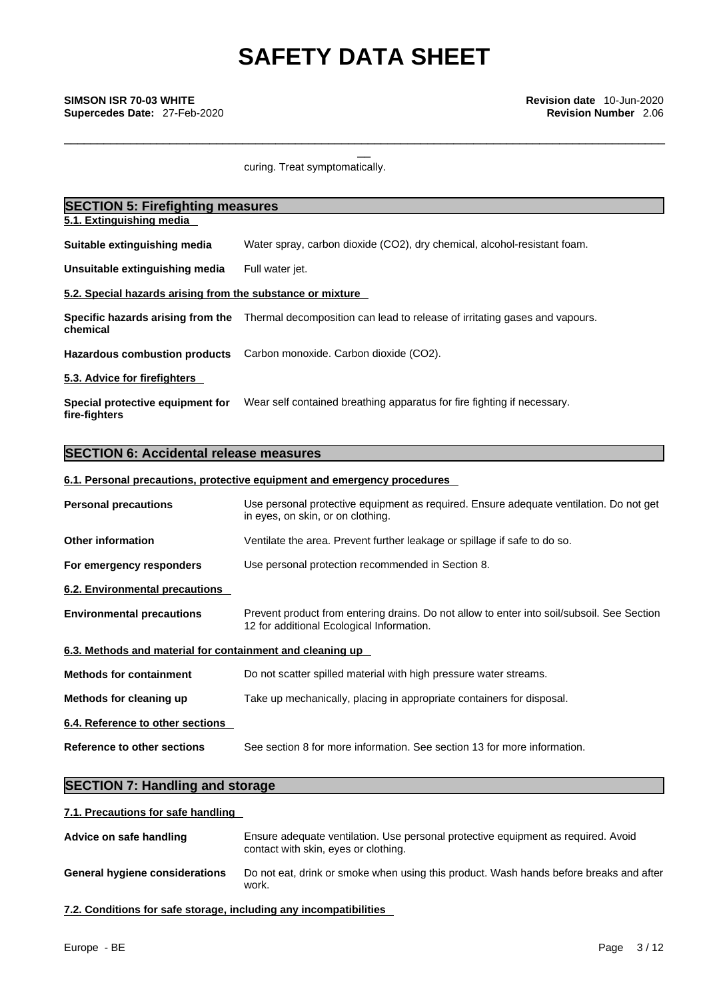\_\_\_\_\_\_\_\_\_\_\_\_\_\_\_\_\_\_\_\_\_\_\_\_\_\_\_\_\_\_\_\_\_\_\_\_\_\_\_\_\_\_\_\_\_\_\_\_\_\_\_\_\_\_\_\_\_\_\_\_\_\_\_\_\_\_\_\_\_\_\_\_\_\_\_\_\_\_\_\_\_\_\_\_\_\_\_\_\_\_\_

curing. Treat symptomatically.

| <b>SECTION 5: Firefighting measures</b>                    |                                                                                                              |  |  |  |
|------------------------------------------------------------|--------------------------------------------------------------------------------------------------------------|--|--|--|
| 5.1. Extinguishing media                                   |                                                                                                              |  |  |  |
| Suitable extinguishing media                               | Water spray, carbon dioxide (CO2), dry chemical, alcohol-resistant foam.                                     |  |  |  |
| Unsuitable extinguishing media                             | Full water jet.                                                                                              |  |  |  |
| 5.2. Special hazards arising from the substance or mixture |                                                                                                              |  |  |  |
| chemical                                                   | Specific hazards arising from the Thermal decomposition can lead to release of irritating gases and vapours. |  |  |  |
|                                                            | Hazardous combustion products Carbon monoxide. Carbon dioxide (CO2).                                         |  |  |  |
| 5.3. Advice for firefighters                               |                                                                                                              |  |  |  |
| Special protective equipment for<br>fire-fighters          | Wear self contained breathing apparatus for fire fighting if necessary.                                      |  |  |  |

## **SECTION 6: Accidental release measures**

### **6.1. Personal precautions, protective equipment and emergency procedures**

| <b>Personal precautions</b>                               | Use personal protective equipment as required. Ensure adequate ventilation. Do not get<br>in eyes, on skin, or on clothing.             |
|-----------------------------------------------------------|-----------------------------------------------------------------------------------------------------------------------------------------|
| <b>Other information</b>                                  | Ventilate the area. Prevent further leakage or spillage if safe to do so.                                                               |
| For emergency responders                                  | Use personal protection recommended in Section 8.                                                                                       |
| 6.2. Environmental precautions                            |                                                                                                                                         |
| <b>Environmental precautions</b>                          | Prevent product from entering drains. Do not allow to enter into soil/subsoil. See Section<br>12 for additional Ecological Information. |
| 6.3. Methods and material for containment and cleaning up |                                                                                                                                         |
| <b>Methods for containment</b>                            | Do not scatter spilled material with high pressure water streams.                                                                       |
| Methods for cleaning up                                   | Take up mechanically, placing in appropriate containers for disposal.                                                                   |
| 6.4. Reference to other sections                          |                                                                                                                                         |
| Reference to other sections                               | See section 8 for more information. See section 13 for more information.                                                                |

## **SECTION 7: Handling and storage**

### **7.1. Precautions for safe handling**

| Advice on safe handling               | Ensure adequate ventilation. Use personal protective equipment as required. Avoid<br>contact with skin, eyes or clothing. |
|---------------------------------------|---------------------------------------------------------------------------------------------------------------------------|
| <b>General hygiene considerations</b> | Do not eat, drink or smoke when using this product. Wash hands before breaks and after<br>work.                           |

**7.2. Conditions for safe storage, including any incompatibilities**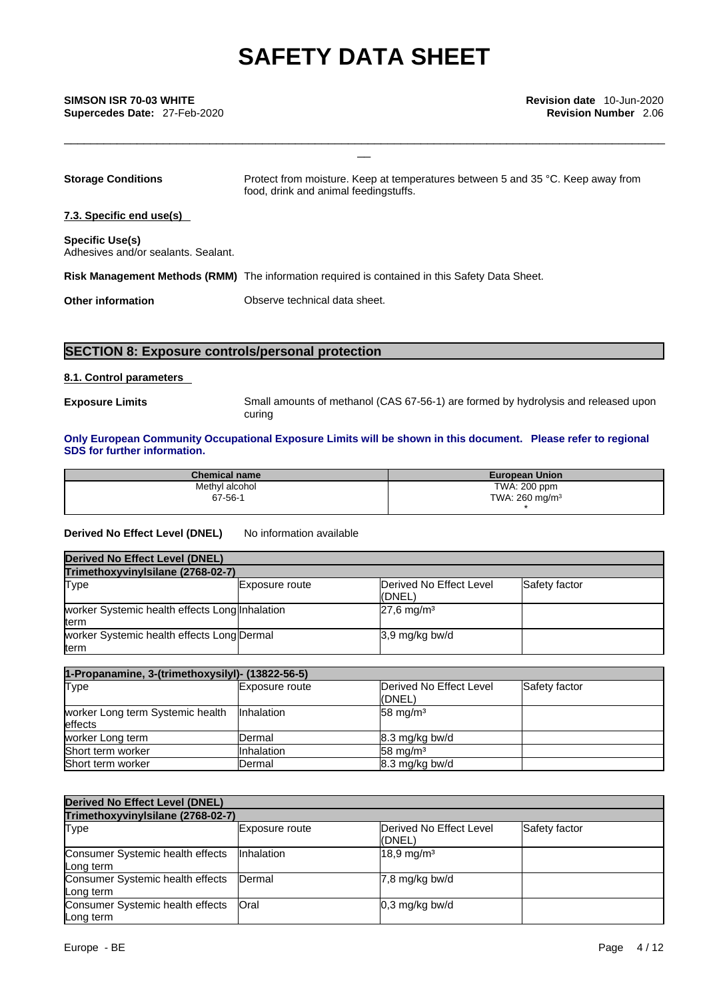\_\_ **SIMSON ISR 70-03 WHITE Revision date** 10-Jun-2020 **Supercedes Date:** 27-Feb-2020 **Revision Number** 2.06

| <b>Storage Conditions</b>                                     | Protect from moisture. Keep at temperatures between 5 and 35 °C. Keep away from<br>food, drink and animal feedingstuffs. |
|---------------------------------------------------------------|--------------------------------------------------------------------------------------------------------------------------|
| 7.3. Specific end use(s)                                      |                                                                                                                          |
| <b>Specific Use(s)</b><br>Adhesives and/or sealants, Sealant, |                                                                                                                          |
|                                                               | Risk Management Methods (RMM) The information required is contained in this Safety Data Sheet.                           |
| <b>Other information</b>                                      | Observe technical data sheet.                                                                                            |
|                                                               |                                                                                                                          |

### **SECTION 8: Exposure controls/personal protection**

### **8.1. Control parameters**

**Exposure Limits** Small amounts of methanol (CAS 67-56-1) are formed by hydrolysis and released upon curing

\_\_\_\_\_\_\_\_\_\_\_\_\_\_\_\_\_\_\_\_\_\_\_\_\_\_\_\_\_\_\_\_\_\_\_\_\_\_\_\_\_\_\_\_\_\_\_\_\_\_\_\_\_\_\_\_\_\_\_\_\_\_\_\_\_\_\_\_\_\_\_\_\_\_\_\_\_\_\_\_\_\_\_\_\_\_\_\_\_\_\_

### **Only European Community Occupational Exposure Limits will be shown in this document. Please refer to regional SDS for further information.**

| <b>Chemical name</b> | <b>European Union</b>      |
|----------------------|----------------------------|
| Methyl alcohol       | TWA: 200 ppm               |
| 67-56-1              | TWA: 260 mg/m <sup>3</sup> |
|                      |                            |

### **Derived No Effect Level (DNEL)** No information available

| Derived No Effect Level (DNEL)                         |                |                                   |               |  |
|--------------------------------------------------------|----------------|-----------------------------------|---------------|--|
| Trimethoxyvinylsilane (2768-02-7)                      |                |                                   |               |  |
| Type                                                   | Exposure route | Derived No Effect Level<br>(DNEL) | Safety factor |  |
| worker Systemic health effects Long Inhalation<br>term |                | $27.6 \text{ mg/m}^3$             |               |  |
| worker Systemic health effects Long Dermal<br>term     |                | 3,9 mg/kg bw/d                    |               |  |

| 1-Propanamine, 3-(trimethoxysilyl)- (13822-56-5) |                   |                                   |               |  |
|--------------------------------------------------|-------------------|-----------------------------------|---------------|--|
| Type                                             | Exposure route    | Derived No Effect Level<br>(DNEL) | Safety factor |  |
| worker Long term Systemic health<br>effects      | Inhalation        | $58 \text{ mg/m}^3$               |               |  |
| worker Long term                                 | Dermal            | 8.3 mg/kg bw/d                    |               |  |
| Short term worker                                | <b>Inhalation</b> | $58 \text{ mg/m}^3$               |               |  |
| Short term worker                                | Dermal            | 8.3 mg/kg bw/d                    |               |  |

| <b>Derived No Effect Level (DNEL)</b>         |                   |                                   |               |  |
|-----------------------------------------------|-------------------|-----------------------------------|---------------|--|
| Trimethoxyvinylsilane (2768-02-7)             |                   |                                   |               |  |
| Type                                          | Exposure route    | Derived No Effect Level<br>(DNEL) | Safety factor |  |
| Consumer Systemic health effects<br>Long term | <b>Inhalation</b> | $18,9 \,\mathrm{mg/m^3}$          |               |  |
| Consumer Systemic health effects<br>Long term | Dermal            | 7,8 mg/kg bw/d                    |               |  |
| Consumer Systemic health effects<br>Long term | Oral              | $0,3$ mg/kg bw/d                  |               |  |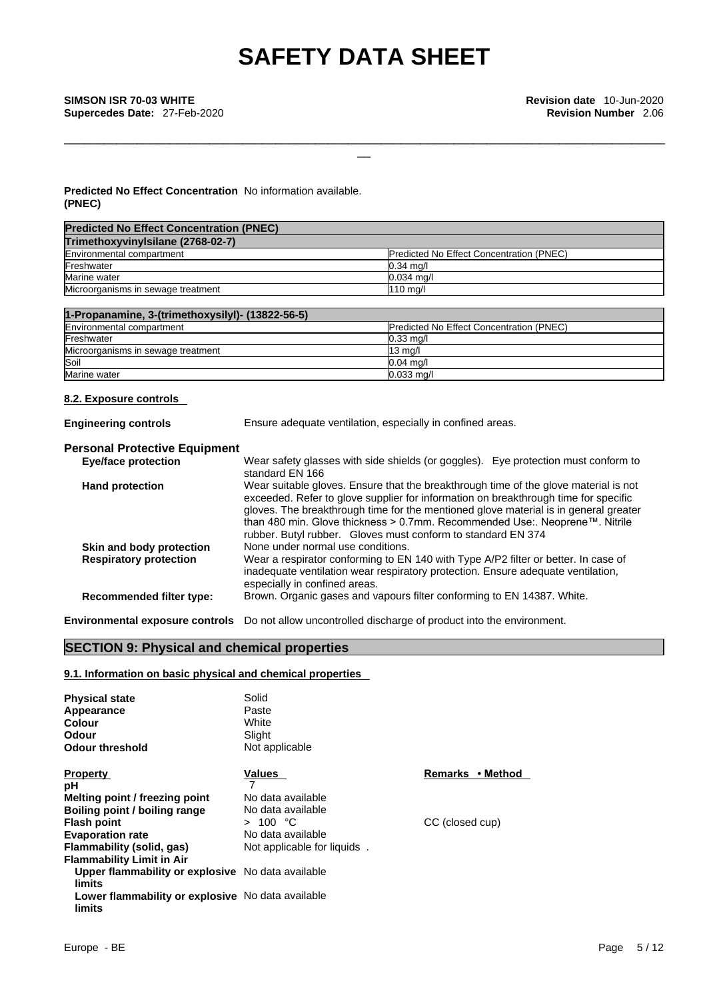\_\_\_\_\_\_\_\_\_\_\_\_\_\_\_\_\_\_\_\_\_\_\_\_\_\_\_\_\_\_\_\_\_\_\_\_\_\_\_\_\_\_\_\_\_\_\_\_\_\_\_\_\_\_\_\_\_\_\_\_\_\_\_\_\_\_\_\_\_\_\_\_\_\_\_\_\_\_\_\_\_\_\_\_\_\_\_\_\_\_\_

\_\_ **SIMSON ISR 70-03 WHITE Revision date** 10-Jun-2020 **Supercedes Date:** 27-Feb-2020 **Revision Number** 2.06

### **Predicted No Effect Concentration** No information available. **(PNEC)**

| <b>Predicted No Effect Concentration (PNEC)</b>  |                                          |
|--------------------------------------------------|------------------------------------------|
| Trimethoxyvinylsilane (2768-02-7)                |                                          |
| Environmental compartment                        | Predicted No Effect Concentration (PNEC) |
| Freshwater                                       | $0.34$ mg/                               |
| Marine water                                     | $0.034$ mg/l                             |
| Microorganisms in sewage treatment               | $110$ mg/l                               |
|                                                  |                                          |
| 1-Propanamine, 3-(trimethoxysilyl)- (13822-56-5) |                                          |
| Environmental compartment                        | Predicted No Effect Concentration (PNEC) |
| Freshwater                                       | $0.33$ mg/                               |
| Microorganisms in sewage treatment               | $13$ mg/l                                |

### **8.2. Exposure controls**

| <b>Engineering controls</b>          | Ensure adequate ventilation, especially in confined areas.                                                                                                                                                                                                                                                                                                                                                                         |  |  |  |  |
|--------------------------------------|------------------------------------------------------------------------------------------------------------------------------------------------------------------------------------------------------------------------------------------------------------------------------------------------------------------------------------------------------------------------------------------------------------------------------------|--|--|--|--|
| <b>Personal Protective Equipment</b> |                                                                                                                                                                                                                                                                                                                                                                                                                                    |  |  |  |  |
| <b>Eye/face protection</b>           | Wear safety glasses with side shields (or goggles). Eye protection must conform to<br>standard EN 166                                                                                                                                                                                                                                                                                                                              |  |  |  |  |
| <b>Hand protection</b>               | Wear suitable gloves. Ensure that the breakthrough time of the glove material is not<br>exceeded. Refer to glove supplier for information on breakthrough time for specific<br>gloves. The breakthrough time for the mentioned glove material is in general greater<br>than 480 min. Glove thickness $> 0.7$ mm. Recommended Use:. Neoprene $\mathbb{M}$ . Nitrile<br>rubber. Butyl rubber. Gloves must conform to standard EN 374 |  |  |  |  |
| Skin and body protection             | None under normal use conditions.                                                                                                                                                                                                                                                                                                                                                                                                  |  |  |  |  |
| <b>Respiratory protection</b>        | Wear a respirator conforming to EN 140 with Type A/P2 filter or better. In case of<br>inadequate ventilation wear respiratory protection. Ensure adequate ventilation,<br>especially in confined areas.                                                                                                                                                                                                                            |  |  |  |  |
| <b>Recommended filter type:</b>      | Brown. Organic gases and vapours filter conforming to EN 14387. White.                                                                                                                                                                                                                                                                                                                                                             |  |  |  |  |
|                                      |                                                                                                                                                                                                                                                                                                                                                                                                                                    |  |  |  |  |

**Environmental exposure controls** Do not allow uncontrolled discharge of product into the environment.

Soil **Definition of the Contract of Contract Contract of Contract Contract Contract October 2006** Marine water the control of the control of the control of the control of the control of the control of the control of the control of the control of the control of the control of the control of the control of the control of

### **SECTION 9: Physical and chemical properties**

### **9.1. Information on basic physical and chemical properties**

| <b>Physical state</b><br>Appearance<br>Colour<br>Odour<br>Odour threshold | Solid<br>Paste<br>White<br>Slight<br>Not applicable |                  |
|---------------------------------------------------------------------------|-----------------------------------------------------|------------------|
| <b>Property</b>                                                           | Values                                              | Remarks • Method |
| рH                                                                        | 7                                                   |                  |
| Melting point / freezing point                                            | No data available                                   |                  |
| Boiling point / boiling range                                             | No data available                                   |                  |
| <b>Flash point</b>                                                        | > 100 °C                                            | CC (closed cup)  |
| <b>Evaporation rate</b>                                                   | No data available                                   |                  |
| Flammability (solid, gas)                                                 | Not applicable for liquids.                         |                  |
| <b>Flammability Limit in Air</b>                                          |                                                     |                  |
| Upper flammability or explosive No data available<br>limits               |                                                     |                  |
| Lower flammability or explosive No data available<br>limits               |                                                     |                  |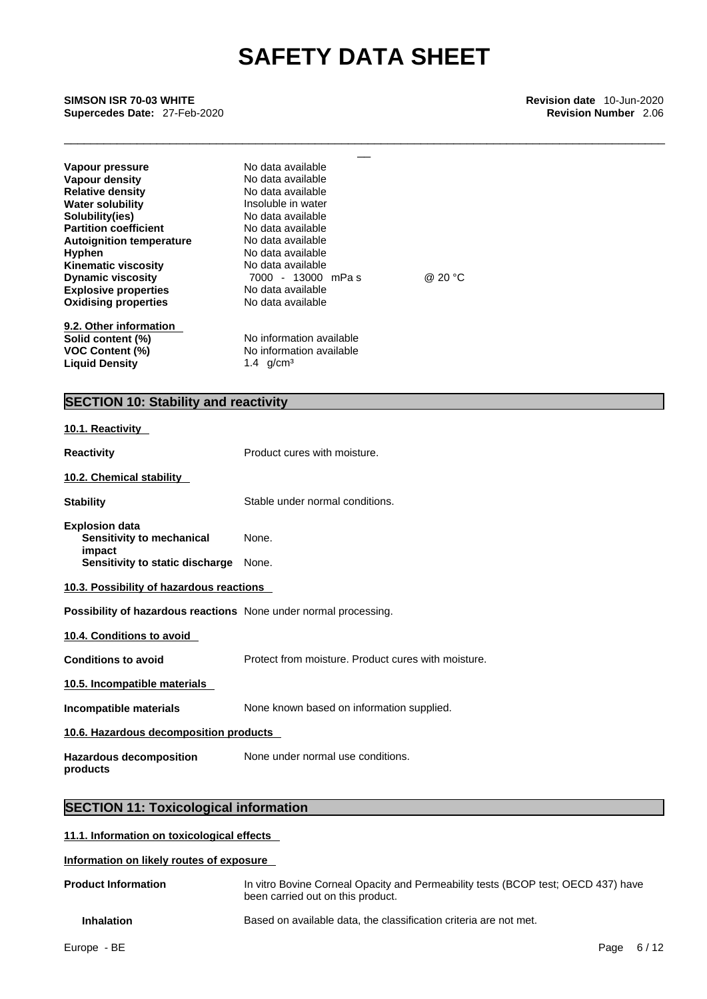\_\_\_\_\_\_\_\_\_\_\_\_\_\_\_\_\_\_\_\_\_\_\_\_\_\_\_\_\_\_\_\_\_\_\_\_\_\_\_\_\_\_\_\_\_\_\_\_\_\_\_\_\_\_\_\_\_\_\_\_\_\_\_\_\_\_\_\_\_\_\_\_\_\_\_\_\_\_\_\_\_\_\_\_\_\_\_\_\_\_\_

\_\_ **SIMSON ISR 70-03 WHITE Revision date** 10-Jun-2020 **Supercedes Date:** 27-Feb-2020 **Revision Number** 2.06

| Vapour pressure                             | No data available        |         |  |
|---------------------------------------------|--------------------------|---------|--|
| Vapour density                              | No data available        |         |  |
| <b>Relative density</b>                     | No data available        |         |  |
| <b>Water solubility</b>                     | Insoluble in water       |         |  |
| Solubility(ies)                             | No data available        |         |  |
| <b>Partition coefficient</b>                | No data available        |         |  |
| <b>Autoignition temperature</b>             | No data available        |         |  |
| <b>Hyphen</b>                               | No data available        |         |  |
| <b>Kinematic viscosity</b>                  | No data available        |         |  |
| <b>Dynamic viscosity</b>                    | 7000 - 13000 mPas        | @ 20 °C |  |
| <b>Explosive properties</b>                 | No data available        |         |  |
| <b>Oxidising properties</b>                 | No data available        |         |  |
| 9.2. Other information                      |                          |         |  |
| Solid content (%)                           | No information available |         |  |
| <b>VOC Content (%)</b>                      | No information available |         |  |
| <b>Liquid Density</b>                       | 1.4 $q/cm^3$             |         |  |
|                                             |                          |         |  |
| <b>SECTION 10: Stability and reactivity</b> |                          |         |  |

### **SECTION 10: Stability and reactivity**

| 10.1. Reactivity                                                                                |                                                     |
|-------------------------------------------------------------------------------------------------|-----------------------------------------------------|
| <b>Reactivity</b>                                                                               | Product cures with moisture.                        |
| 10.2. Chemical stability                                                                        |                                                     |
| <b>Stability</b>                                                                                | Stable under normal conditions.                     |
| <b>Explosion data</b><br>Sensitivity to mechanical<br>impact<br>Sensitivity to static discharge | None.<br>None.                                      |
| 10.3. Possibility of hazardous reactions                                                        |                                                     |
| Possibility of hazardous reactions None under normal processing.                                |                                                     |
| 10.4. Conditions to avoid                                                                       |                                                     |
| <b>Conditions to avoid</b>                                                                      | Protect from moisture. Product cures with moisture. |
| 10.5. Incompatible materials                                                                    |                                                     |
| Incompatible materials                                                                          | None known based on information supplied.           |
| 10.6. Hazardous decomposition products                                                          |                                                     |
| <b>Hazardous decomposition</b><br>products                                                      | None under normal use conditions.                   |
|                                                                                                 |                                                     |

## **SECTION 11: Toxicological information**

### **11.1. Information on toxicological effects**

### **Information on likely routes of exposure**

| <b>Product Information</b> | In vitro Bovine Corneal Opacity and Permeability tests (BCOP test: OECD 437) have<br>been carried out on this product. |
|----------------------------|------------------------------------------------------------------------------------------------------------------------|
| <b>Inhalation</b>          | Based on available data, the classification criteria are not met.                                                      |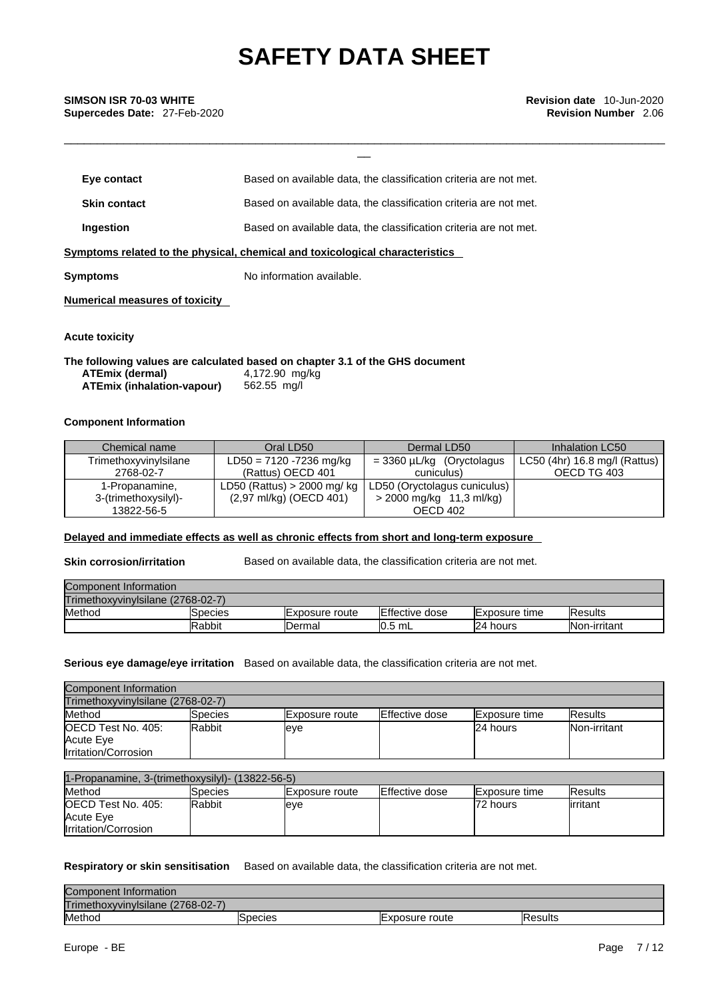\_\_\_\_\_\_\_\_\_\_\_\_\_\_\_\_\_\_\_\_\_\_\_\_\_\_\_\_\_\_\_\_\_\_\_\_\_\_\_\_\_\_\_\_\_\_\_\_\_\_\_\_\_\_\_\_\_\_\_\_\_\_\_\_\_\_\_\_\_\_\_\_\_\_\_\_\_\_\_\_\_\_\_\_\_\_\_\_\_\_\_

| Eye contact         | Based on available data, the classification criteria are not met.            |
|---------------------|------------------------------------------------------------------------------|
| <b>Skin contact</b> | Based on available data, the classification criteria are not met.            |
| Ingestion           | Based on available data, the classification criteria are not met.            |
|                     | Symptoms related to the physical, chemical and toxicological characteristics |
| <b>Symptoms</b>     | No information available.                                                    |

**Numerical measures of toxicity**

### **Acute toxicity**

**The following values are calculated based on chapter 3.1 of the GHS document ATEmix (dermal)**4,172.90 mg/kg **ATEmix (inhalation-vapour)** 562.55 mg/l

### **Component Information**

| Chemical name         | Oral LD50                    | Dermal LD50                  | Inhalation LC50               |
|-----------------------|------------------------------|------------------------------|-------------------------------|
| Trimethoxyvinylsilane | $LD50 = 7120 - 7236$ mg/kg   | $=$ 3360 µL/kg (Oryctolagus  | LC50 (4hr) 16.8 mg/l (Rattus) |
| 2768-02-7             | (Rattus) OECD 401            | cuniculus)                   | OECD TG 403                   |
| 1-Propanamine,        | LD50 (Rattus) $>$ 2000 mg/kg | LD50 (Oryctolagus cuniculus) |                               |
| 3-(trimethoxysilyl)-  | (2,97 ml/kg) (OECD 401)      | > 2000 mg/kg 11,3 ml/kg)     |                               |
| 13822-56-5            |                              | OECD 402                     |                               |

### **Delayed and immediate effects as well as chronic effects from short and long-term exposure**

**Skin corrosion/irritation** Based on available data, the classification criteria are not met.

| Component Information             |         |                |                |                       |                |
|-----------------------------------|---------|----------------|----------------|-----------------------|----------------|
| TrimethoxyvinvIsilane (2768-02-7) |         |                |                |                       |                |
| Method                            | Species | Exposure route | Effective dose | <b>IExposure</b> time | <b>Results</b> |
|                                   | Rabbit  | <b>IDermal</b> | $10.5$ mL      | 24 hours              | Non-irritant   |

### **Serious eye damage/eye irritation** Based on available data, the classification criteria are not met.

| Component Information             |         |                        |                        |                       |                      |
|-----------------------------------|---------|------------------------|------------------------|-----------------------|----------------------|
| Trimethoxyvinylsilane (2768-02-7) |         |                        |                        |                       |                      |
| Method                            | Species | <b>IExposure route</b> | <b>IEffective dose</b> | <b>IExposure time</b> | <b>Results</b>       |
| <b>IOECD Test No. 405:</b>        | Rabbit  | leve                   |                        | 24 hours              | <b>INon-irritant</b> |
| Acute Eye<br>Irritation/Corrosion |         |                        |                        |                       |                      |

| 1-Propanamine. 3-(trimethoxysilyl)- (13822-56-5)                |                |                        |                        |                       |                |
|-----------------------------------------------------------------|----------------|------------------------|------------------------|-----------------------|----------------|
| Method                                                          | <b>Species</b> | <b>IExposure</b> route | <b>IEffective dose</b> | <b>IExposure time</b> | <b>Results</b> |
| <b>IOECD Test No. 405:</b><br>Acute Eye<br>Irritation/Corrosion | <b>Rabbit</b>  | leve                   |                        | 72 hours              | lirritant      |

### **Respiratory or skin sensitisation** Based on available data, the classification criteria are not met.

| Component Information                           |        |               |         |
|-------------------------------------------------|--------|---------------|---------|
| TrimethoxyvinvIsilane<br>$(2768 - 02 - 7)$<br>L |        |               |         |
| Method                                          | pecies | xposure route | Results |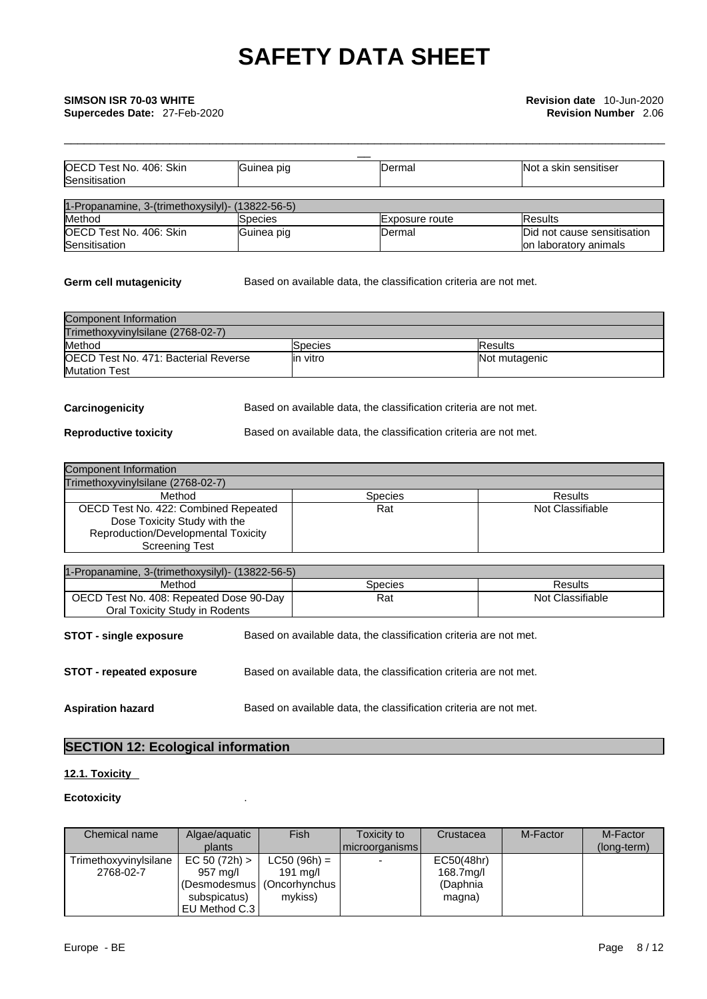| OECD Test No. 406: Skin                          | Guinea pig     | <b>Dermal</b>  | Not a skin sensitiser       |
|--------------------------------------------------|----------------|----------------|-----------------------------|
| Sensitisation                                    |                |                |                             |
|                                                  |                |                |                             |
| 1-Propanamine, 3-(trimethoxysilyl)- (13822-56-5) |                |                |                             |
| Method                                           | <b>Species</b> | Exposure route | <b>Results</b>              |
| OECD Test No. 406: Skin                          | Guinea pig     | Dermal         | Did not cause sensitisation |
| Sensitisation                                    |                |                | on laboratory animals       |

**Germ cell mutagenicity** Based on available data, the classification criteria are not met.

\_\_\_\_\_\_\_\_\_\_\_\_\_\_\_\_\_\_\_\_\_\_\_\_\_\_\_\_\_\_\_\_\_\_\_\_\_\_\_\_\_\_\_\_\_\_\_\_\_\_\_\_\_\_\_\_\_\_\_\_\_\_\_\_\_\_\_\_\_\_\_\_\_\_\_\_\_\_\_\_\_\_\_\_\_\_\_\_\_\_\_

| Component Information                        |                |                 |  |  |
|----------------------------------------------|----------------|-----------------|--|--|
| Trimethoxyvinylsilane (2768-02-7)            |                |                 |  |  |
| Method                                       | <b>Species</b> | <b>IResults</b> |  |  |
| <b>IOECD Test No. 471: Bacterial Reverse</b> | lin vitro      | Not mutagenic   |  |  |
| <b>Mutation Test</b>                         |                |                 |  |  |

**Carcinogenicity** Based on available data, the classification criteria are not met.

**Reproductive toxicity** Based on available data, the classification criteria are not met.

| Component Information                                                                                                         |                |                  |
|-------------------------------------------------------------------------------------------------------------------------------|----------------|------------------|
| Trimethoxyvinylsilane (2768-02-7)                                                                                             |                |                  |
| Method                                                                                                                        | <b>Species</b> | Results          |
| OECD Test No. 422: Combined Repeated<br>Dose Toxicity Study with the<br>Reproduction/Developmental Toxicity<br>Screening Test | Rat            | Not Classifiable |

| 1-Propanamine, 3-(trimethoxysilyl)- (13822-56-5)                                                     |  |                                                                   |                  |  |
|------------------------------------------------------------------------------------------------------|--|-------------------------------------------------------------------|------------------|--|
| Method                                                                                               |  | <b>Species</b>                                                    | Results          |  |
| OECD Test No. 408: Repeated Dose 90-Day<br>Oral Toxicity Study in Rodents                            |  | Rat                                                               | Not Classifiable |  |
| <b>STOT - single exposure</b>                                                                        |  | Based on available data, the classification criteria are not met. |                  |  |
| <b>STOT - repeated exposure</b><br>Based on available data, the classification criteria are not met. |  |                                                                   |                  |  |
| <b>Aspiration hazard</b>                                                                             |  | Based on available data, the classification criteria are not met. |                  |  |

## **SECTION 12: Ecological information**

## **12.1. Toxicity**

### **Ecotoxicity** .

| Chemical name         | Algae/aguatic                | Fish               | Toxicity to              | Crustacea  | M-Factor | M-Factor    |  |
|-----------------------|------------------------------|--------------------|--------------------------|------------|----------|-------------|--|
|                       | plants                       |                    | I microorganisms l       |            |          | (long-term) |  |
| Trimethoxyvinylsilane | EC 50 (72h) >                | $LC50 (96h) =$     | $\overline{\phantom{0}}$ | EC50(48hr) |          |             |  |
| 2768-02-7             | 957 mg/l                     | $191 \text{ ma/l}$ |                          | 168.7mg/l  |          |             |  |
|                       | (Desmodesmus   (Oncorhynchus |                    |                          | (Daphnia   |          |             |  |
|                       | subspicatus)                 | mykiss)            |                          | magna)     |          |             |  |
|                       | EU Method C.3                |                    |                          |            |          |             |  |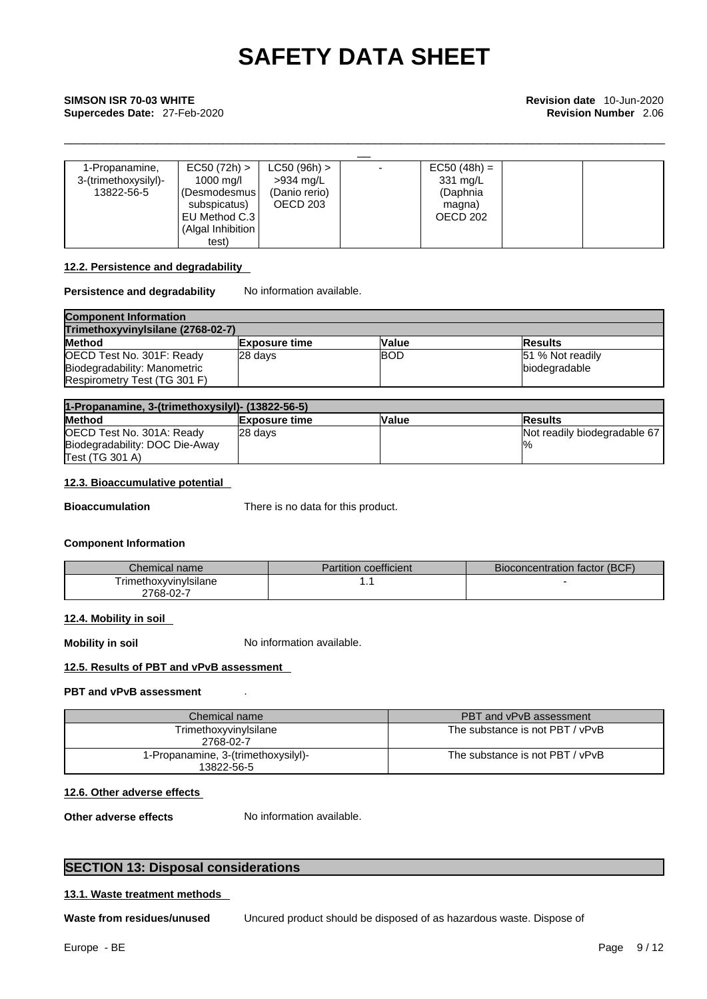# \_\_ **SIMSON ISR 70-03 WHITE Revision date** 10-Jun-2020 **Supercedes Date:** 27-Feb-2020 **Revision Number** 2.06

| 1-Propanamine,       | EC50 (72h) >      | $LC50 (96h)$ > | $EC50 (48h) =$ |  |
|----------------------|-------------------|----------------|----------------|--|
| 3-(trimethoxysilyl)- | 1000 mg/l         | >934 mg/L      | 331 mg/L       |  |
| 13822-56-5           | (Desmodesmus      | (Danio rerio)  | (Daphnia       |  |
|                      | subspicatus)      | OECD 203       | magna)         |  |
|                      | EU Method C.3     |                | OECD 202       |  |
|                      | (Algal Inhibition |                |                |  |
|                      | test)             |                |                |  |

\_\_\_\_\_\_\_\_\_\_\_\_\_\_\_\_\_\_\_\_\_\_\_\_\_\_\_\_\_\_\_\_\_\_\_\_\_\_\_\_\_\_\_\_\_\_\_\_\_\_\_\_\_\_\_\_\_\_\_\_\_\_\_\_\_\_\_\_\_\_\_\_\_\_\_\_\_\_\_\_\_\_\_\_\_\_\_\_\_\_\_

### **12.2. Persistence and degradability**

### **Persistence and degradability** No information available.

| <b>Component Information</b>      |                      |            |                  |  |
|-----------------------------------|----------------------|------------|------------------|--|
| TrimethoxyvinvIsilane (2768-02-7) |                      |            |                  |  |
| <b>Method</b>                     | <b>Exposure time</b> | Value      | <b>IResults</b>  |  |
| OECD Test No. 301F: Ready         | 28 davs              | <b>BOD</b> | 51 % Not readily |  |
| Biodegradability: Manometric      |                      |            | biodegradable    |  |
| Respirometry Test (TG 301 F)      |                      |            |                  |  |

| 1-Propanamine, 3-(trimethoxysilyl)- (13822-56-5) |                      |              |                              |
|--------------------------------------------------|----------------------|--------------|------------------------------|
| <b>Method</b>                                    | <b>Exposure time</b> | <b>Value</b> | <b>Results</b>               |
| OECD Test No. 301A: Ready                        | 28 davs              |              | Not readily biodegradable 67 |
| Biodegradability: DOC Die-Away                   |                      |              | $\frac{10}{6}$               |
| Test (TG 301 A)                                  |                      |              |                              |

### **12.3. Bioaccumulative potential**

**Bioaccumulation** There is no data for this product.

### **Component Information**

| Chemical name i       | <b>Partition coefficient</b> | Bioconcentration factor (BCF) |
|-----------------------|------------------------------|-------------------------------|
| TrimethoxvvinvIsilane | . .                          |                               |
| 2768-02-7             |                              |                               |

### **12.4. Mobility in soil**

**Mobility in soil** No information available.

### **12.5. Results of PBT and vPvB assessment**

### **PBT and vPvB assessment** .

| Chemical name                                     | PBT and vPvB assessment         |
|---------------------------------------------------|---------------------------------|
| Trimethoxyvinylsilane<br>2768-02-7                | The substance is not PBT / vPvB |
| 1-Propanamine, 3-(trimethoxysilyl)-<br>13822-56-5 | The substance is not PBT / vPvB |

### **12.6. Other adverse effects**

**Other adverse effects** No information available.

### **SECTION 13: Disposal considerations**

### **13.1. Waste treatment methods**

**Waste from residues/unused** Uncured product should be disposed of as hazardous waste. Dispose of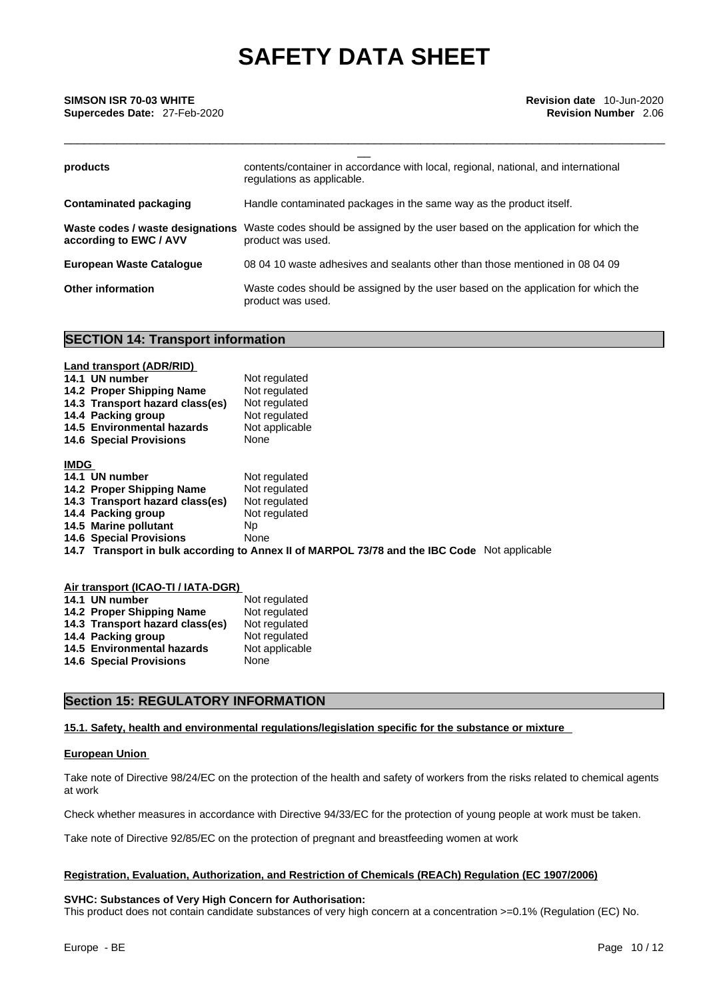\_\_\_\_\_\_\_\_\_\_\_\_\_\_\_\_\_\_\_\_\_\_\_\_\_\_\_\_\_\_\_\_\_\_\_\_\_\_\_\_\_\_\_\_\_\_\_\_\_\_\_\_\_\_\_\_\_\_\_\_\_\_\_\_\_\_\_\_\_\_\_\_\_\_\_\_\_\_\_\_\_\_\_\_\_\_\_\_\_\_\_

| SIMSON ISR 70-03 WHITE<br>Supercedes Date: 27-Feb-2020     | <b>Revision date</b> 10-Jun-2020<br><b>Revision Number</b> 2.06                                                  |
|------------------------------------------------------------|------------------------------------------------------------------------------------------------------------------|
| products                                                   | contents/container in accordance with local, regional, national, and international<br>regulations as applicable. |
| <b>Contaminated packaging</b>                              | Handle contaminated packages in the same way as the product itself.                                              |
| Waste codes / waste designations<br>according to EWC / AVV | Waste codes should be assigned by the user based on the application for which the<br>product was used.           |
| <b>European Waste Cataloque</b>                            | 08 04 10 waste adhesives and sealants other than those mentioned in 08 04 09                                     |
| <b>Other information</b>                                   | Waste codes should be assigned by the user based on the application for which the<br>product was used.           |

### **SECTION 14: Transport information**

|             | <b>Land transport (ADR/RID)</b> |                                                                                              |
|-------------|---------------------------------|----------------------------------------------------------------------------------------------|
|             | 14.1 UN number                  | Not regulated                                                                                |
|             | 14.2 Proper Shipping Name       | Not regulated                                                                                |
|             | 14.3 Transport hazard class(es) | Not regulated                                                                                |
|             | 14.4 Packing group              | Not regulated                                                                                |
|             | 14.5 Environmental hazards      | Not applicable                                                                               |
|             | <b>14.6 Special Provisions</b>  | None                                                                                         |
| <b>IMDG</b> |                                 |                                                                                              |
|             | 14.1 UN number                  | Not regulated                                                                                |
|             | 14.2 Proper Shipping Name       | Not regulated                                                                                |
|             | 14.3 Transport hazard class(es) | Not regulated                                                                                |
|             | 14.4 Packing group              | Not regulated                                                                                |
|             | 14.5 Marine pollutant           | Np                                                                                           |
|             | <b>14.6 Special Provisions</b>  | None                                                                                         |
|             |                                 | 14.7 Transport in bulk according to Annex II of MARPOL 73/78 and the IBC Code Not applicable |
|             |                                 |                                                                                              |

| Air transport (ICAO-TI / IATA-DGR) |                |
|------------------------------------|----------------|
| 14.1 UN number                     | Not regulated  |
| 14.2 Proper Shipping Name          | Not regulated  |
| 14.3 Transport hazard class(es)    | Not regulated  |
| 14.4 Packing group                 | Not regulated  |
| 14.5 Environmental hazards         | Not applicable |
| <b>14.6 Special Provisions</b>     | None           |

### **Section 15: REGULATORY INFORMATION**

### **15.1. Safety, health and environmental regulations/legislation specific for the substance or mixture**

### **European Union**

Take note of Directive 98/24/EC on the protection of the health and safety of workers from the risks related to chemical agents at work

Check whether measures in accordance with Directive 94/33/EC for the protection of young people at work must be taken.

Take note of Directive 92/85/EC on the protection of pregnant and breastfeeding women at work

### **Registration, Evaluation, Authorization, and Restriction of Chemicals (REACh) Regulation (EC 1907/2006)**

### **SVHC: Substances of Very High Concern for Authorisation:**

This product does not contain candidate substances of very high concern at a concentration >=0.1% (Regulation (EC) No.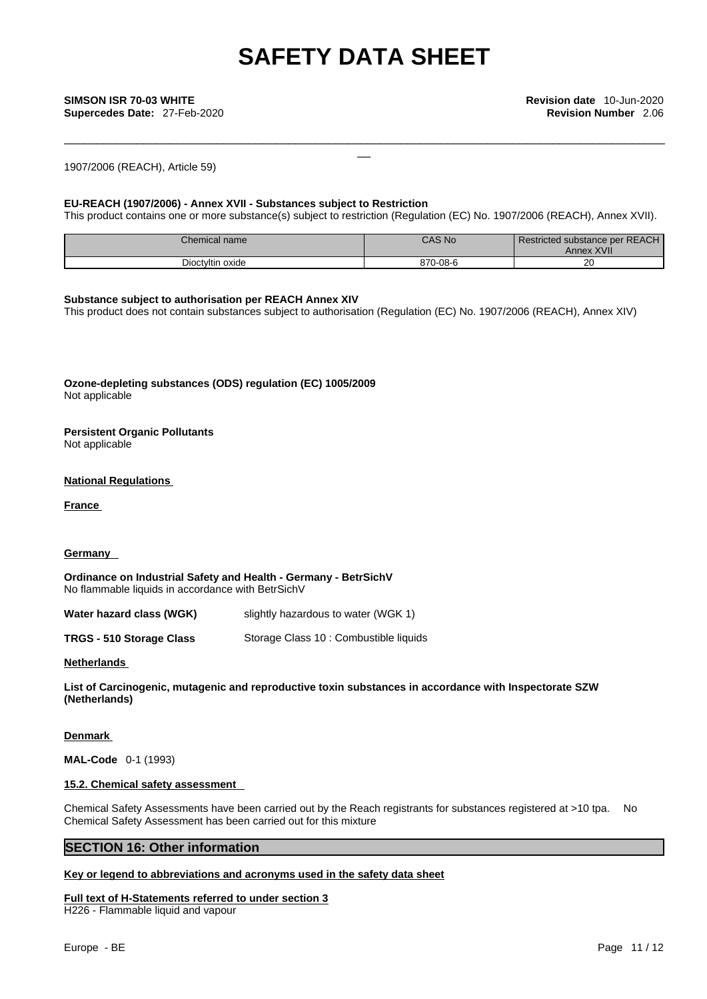\_\_\_\_\_\_\_\_\_\_\_\_\_\_\_\_\_\_\_\_\_\_\_\_\_\_\_\_\_\_\_\_\_\_\_\_\_\_\_\_\_\_\_\_\_\_\_\_\_\_\_\_\_\_\_\_\_\_\_\_\_\_\_\_\_\_\_\_\_\_\_\_\_\_\_\_\_\_\_\_\_\_\_\_\_\_\_\_\_\_\_

**Supercedes Date:** 27-Feb-2020 **Revision Number** 2.06

1907/2006 (REACH), Article 59)

### **EU-REACH (1907/2006) - Annex XVII - Substances subject to Restriction**

This product contains one or more substance(s) subject to restriction (Regulation (EC) No. 1907/2006 (REACH), Annex XVII).

| Chemical name    | <b>CAS No</b>   | Restricted substance per REACH<br><b>Annex XVII</b> |
|------------------|-----------------|-----------------------------------------------------|
| Dioctyltin oxide | $-08-6$<br>070. | oc<br>ZU.                                           |

### **Substance subject to authorisation per REACH Annex XIV**

This product does not contain substances subject to authorisation (Regulation (EC) No. 1907/2006 (REACH), Annex XIV)

**Ozone-depleting substances (ODS) regulation (EC) 1005/2009** Not applicable

## **Persistent Organic Pollutants**

Not applicable

### **National Regulations**

**France** 

### **Germany**

**Ordinance on Industrial Safety and Health - Germany - BetrSichV** No flammable liquids in accordance with BetrSichV

**Water hazard class (WGK)** slightly hazardous to water (WGK 1)

**TRGS - 510 Storage Class** Storage Class 10 : Combustible liquids

### **Netherlands**

**List of Carcinogenic, mutagenic and reproductive toxin substances in accordance with Inspectorate SZW (Netherlands)**

### **Denmark**

**MAL-Code** 0-1 (1993)

### **15.2. Chemical safety assessment**

Chemical Safety Assessments have been carried out by the Reach registrants for substances registered at >10 tpa. No Chemical Safety Assessment has been carried out for this mixture

### **SECTION 16: Other information**

### **Key or legend to abbreviations and acronyms used in the safety data sheet**

## **Full text of H-Statements referred to under section 3**

H226 - Flammable liquid and vapour